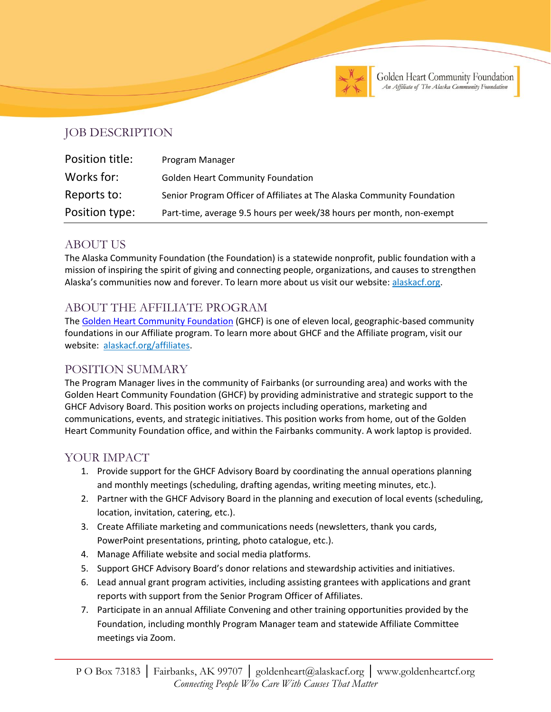

# JOB DESCRIPTION

| Position title: | Program Manager                                                         |
|-----------------|-------------------------------------------------------------------------|
| Works for:      | <b>Golden Heart Community Foundation</b>                                |
| Reports to:     | Senior Program Officer of Affiliates at The Alaska Community Foundation |
| Position type:  | Part-time, average 9.5 hours per week/38 hours per month, non-exempt    |

## ABOUT US

The Alaska Community Foundation (the Foundation) is a statewide nonprofit, public foundation with a mission of inspiring the spirit of giving and connecting people, organizations, and causes to strengthen Alaska's communities now and forever. To learn more about us visit our website: [alaskacf.org.](http://www.alaskacf.org/)

# ABOUT THE AFFILIATE PROGRAM

The [Golden Heart](https://goldenheartcf.org/) Community Foundation (GHCF) is one of eleven local, geographic-based community foundations in our Affiliate program. To learn more about GHCF and the Affiliate program, visit our website: [alaskacf.org/affiliates.](https://alaskacf.org/affiliates/)

## POSITION SUMMARY

The Program Manager lives in the community of Fairbanks (or surrounding area) and works with the Golden Heart Community Foundation (GHCF) by providing administrative and strategic support to the GHCF Advisory Board. This position works on projects including operations, marketing and communications, events, and strategic initiatives. This position works from home, out of the Golden Heart Community Foundation office, and within the Fairbanks community. A work laptop is provided.

## YOUR IMPACT

- 1. Provide support for the GHCF Advisory Board by coordinating the annual operations planning and monthly meetings (scheduling, drafting agendas, writing meeting minutes, etc.).
- 2. Partner with the GHCF Advisory Board in the planning and execution of local events (scheduling, location, invitation, catering, etc.).
- 3. Create Affiliate marketing and communications needs (newsletters, thank you cards, PowerPoint presentations, printing, photo catalogue, etc.).
- 4. Manage Affiliate website and social media platforms.
- 5. Support GHCF Advisory Board's donor relations and stewardship activities and initiatives.
- 6. Lead annual grant program activities, including assisting grantees with applications and grant reports with support from the Senior Program Officer of Affiliates.
- 7. Participate in an annual Affiliate Convening and other training opportunities provided by the Foundation, including monthly Program Manager team and statewide Affiliate Committee meetings via Zoom.